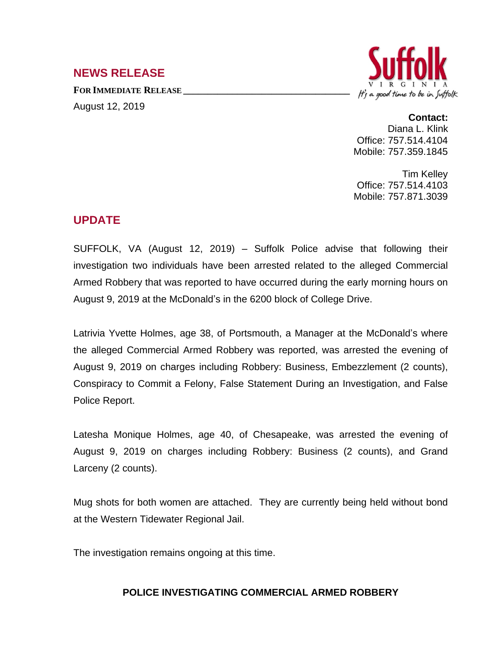## **NEWS RELEASE**

**FOR IMMEDIATE RELEASE \_\_\_\_\_\_\_\_\_\_\_\_\_\_\_\_\_\_\_\_\_\_\_\_\_\_\_\_\_\_\_\_\_\_** August 12, 2019



## **Contact:**

Diana L. Klink Office: 757.514.4104 Mobile: 757.359.1845

Tim Kelley Office: 757.514.4103 Mobile: 757.871.3039

## **UPDATE**

SUFFOLK, VA (August 12, 2019) – Suffolk Police advise that following their investigation two individuals have been arrested related to the alleged Commercial Armed Robbery that was reported to have occurred during the early morning hours on August 9, 2019 at the McDonald's in the 6200 block of College Drive.

Latrivia Yvette Holmes, age 38, of Portsmouth, a Manager at the McDonald's where the alleged Commercial Armed Robbery was reported, was arrested the evening of August 9, 2019 on charges including Robbery: Business, Embezzlement (2 counts), Conspiracy to Commit a Felony, False Statement During an Investigation, and False Police Report.

Latesha Monique Holmes, age 40, of Chesapeake, was arrested the evening of August 9, 2019 on charges including Robbery: Business (2 counts), and Grand Larceny (2 counts).

Mug shots for both women are attached. They are currently being held without bond at the Western Tidewater Regional Jail.

The investigation remains ongoing at this time.

## **POLICE INVESTIGATING COMMERCIAL ARMED ROBBERY**